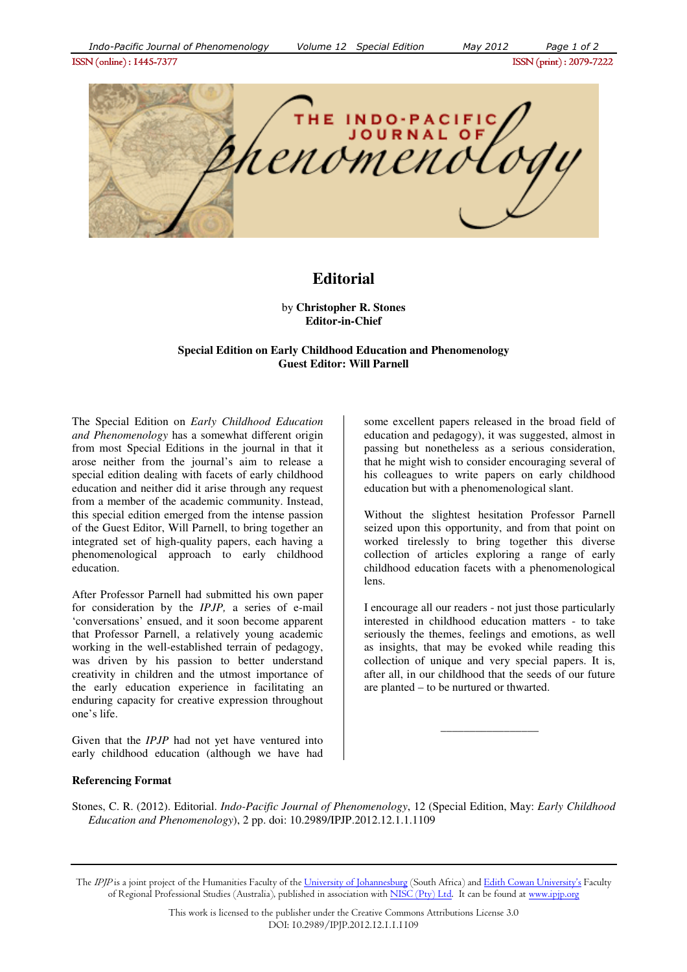

## **Editorial**

by **Christopher R. Stones Editor-in-Chief**

## **Special Edition on Early Childhood Education and Phenomenology Guest Editor: Will Parnell**

The Special Edition on *Early Childhood Education and Phenomenology* has a somewhat different origin from most Special Editions in the journal in that it arose neither from the journal's aim to release a special edition dealing with facets of early childhood education and neither did it arise through any request from a member of the academic community. Instead, this special edition emerged from the intense passion of the Guest Editor, Will Parnell, to bring together an integrated set of high-quality papers, each having a phenomenological approach to early childhood education.

After Professor Parnell had submitted his own paper for consideration by the *IPJP,* a series of e-mail 'conversations' ensued, and it soon become apparent that Professor Parnell, a relatively young academic working in the well-established terrain of pedagogy, was driven by his passion to better understand creativity in children and the utmost importance of the early education experience in facilitating an enduring capacity for creative expression throughout one's life.

Given that the *IPJP* had not yet have ventured into early childhood education (although we have had some excellent papers released in the broad field of education and pedagogy), it was suggested, almost in passing but nonetheless as a serious consideration, that he might wish to consider encouraging several of his colleagues to write papers on early childhood education but with a phenomenological slant.

Without the slightest hesitation Professor Parnell seized upon this opportunity, and from that point on worked tirelessly to bring together this diverse collection of articles exploring a range of early childhood education facets with a phenomenological lens.

I encourage all our readers - not just those particularly interested in childhood education matters - to take seriously the themes, feelings and emotions, as well as insights, that may be evoked while reading this collection of unique and very special papers. It is, after all, in our childhood that the seeds of our future are planted – to be nurtured or thwarted.

 $\overline{\phantom{a}}$  , where the contract of the contract of the contract of  $\overline{\phantom{a}}$ 

## **Referencing Format**

Stones, C. R. (2012). Editorial. *Indo-Pacific Journal of Phenomenology*, 12 (Special Edition, May: *Early Childhood Education and Phenomenology*), 2 pp. doi: 10.2989/IPJP.2012.12.1.1.1109

The IPJP is a joint project of the Humanities Faculty of the University of Johannesburg (South Africa) and Edith Cowan University's Faculty of Regional Professional Studies (Australia), published in association with NISC (Pty) Ltd. It can be found at www.ipip.org